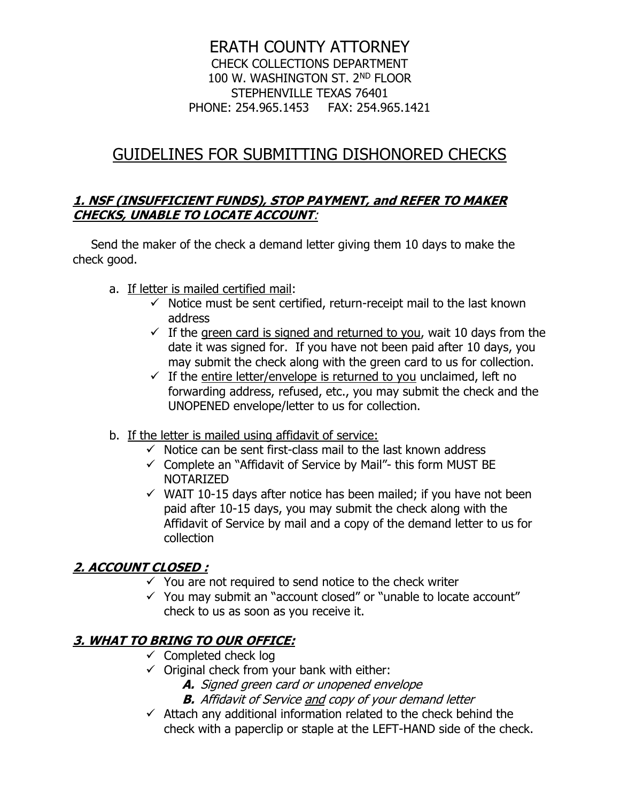### ERATH COUNTY ATTORNEY CHECK COLLECTIONS DEPARTMENT 100 W. WASHINGTON ST. 2ND FLOOR STEPHENVILLE TEXAS 76401 PHONE: 254.965.1453 FAX: 254.965.1421

# GUIDELINES FOR SUBMITTING DISHONORED CHECKS

#### **1. NSF (INSUFFICIENT FUNDS), STOP PAYMENT, and REFER TO MAKER CHECKS, UNABLE TO LOCATE ACCOUNT**:

Send the maker of the check a demand letter giving them 10 days to make the check good.

- a. If letter is mailed certified mail:
	- $\checkmark$  Notice must be sent certified, return-receipt mail to the last known address
	- $\checkmark$  If the green card is signed and returned to you, wait 10 days from the date it was signed for. If you have not been paid after 10 days, you may submit the check along with the green card to us for collection.
	- $\checkmark$  If the entire letter/envelope is returned to you unclaimed, left no forwarding address, refused, etc., you may submit the check and the UNOPENED envelope/letter to us for collection.
- b. If the letter is mailed using affidavit of service:
	- $\checkmark$  Notice can be sent first-class mail to the last known address
	- $\checkmark$  Complete an "Affidavit of Service by Mail"- this form MUST BE NOTARIZED
	- $\checkmark$  WAIT 10-15 days after notice has been mailed; if you have not been paid after 10-15 days, you may submit the check along with the Affidavit of Service by mail and a copy of the demand letter to us for collection

## **2. ACCOUNT CLOSED :**

- $\checkmark$  You are not required to send notice to the check writer
- ✓ You may submit an "account closed" or "unable to locate account" check to us as soon as you receive it.

# **3. WHAT TO BRING TO OUR OFFICE:**

- $\checkmark$  Completed check log
- $\checkmark$  Original check from your bank with either:
	- **A.** Signed green card or unopened envelope
	- **B.** Affidavit of Service and copy of your demand letter
- $\checkmark$  Attach any additional information related to the check behind the check with a paperclip or staple at the LEFT-HAND side of the check.